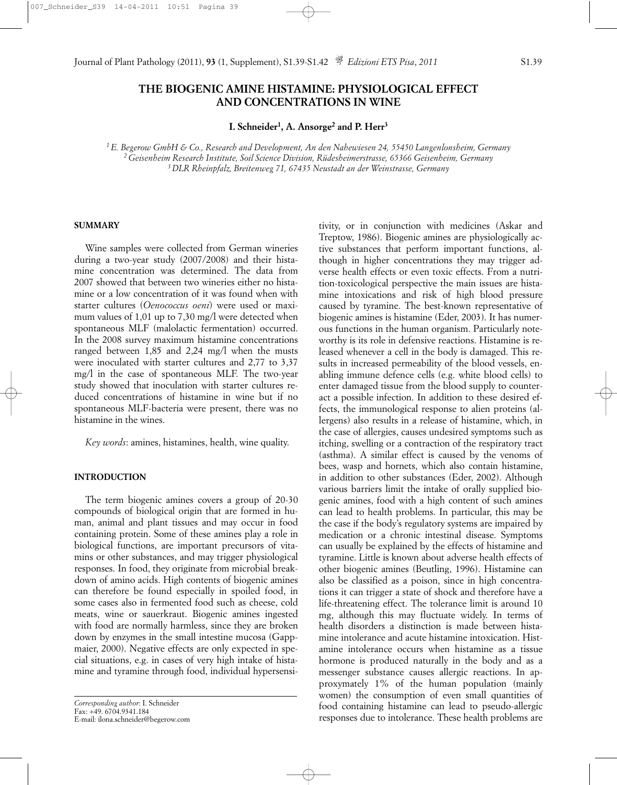# **THE BIOGENIC AMINE HISTAMINE: PHYSIOLOGICAL EFFECT AND CONCENTRATIONS IN WINE**

**I. Schneider1, A. Ansorge2 and P. Herr3**

*1 E. Begerow GmbH & Co., Research and Development, An den Nahewiesen 24, 55450 Langenlonsheim, Germany 2 Geisenheim Research Institute, Soil Science Division, Rüdesheimerstrasse, 65366 Geisenheim, Germany 3 DLR Rheinpfalz, Breitenweg 71, 67435 Neustadt an der Weinstrasse, Germany*

#### **SUMMARY**

Wine samples were collected from German wineries during a two-year study (2007/2008) and their histamine concentration was determined. The data from 2007 showed that between two wineries either no histamine or a low concentration of it was found when with starter cultures (*Oenococcus oeni*) were used or maximum values of 1,01 up to 7,30 mg/l were detected when spontaneous MLF (malolactic fermentation) occurred. In the 2008 survey maximum histamine concentrations ranged between 1,85 and 2,24 mg/l when the musts were inoculated with starter cultures and 2,77 to 3,37 mg/l in the case of spontaneous MLF. The two-year study showed that inoculation with starter cultures reduced concentrations of histamine in wine but if no spontaneous MLF-bacteria were present, there was no histamine in the wines.

*Key words*: amines, histamines, health, wine quality.

### **INTRODUCTION**

The term biogenic amines covers a group of 20-30 compounds of biological origin that are formed in human, animal and plant tissues and may occur in food containing protein. Some of these amines play a role in biological functions, are important precursors of vitamins or other substances, and may trigger physiological responses. In food, they originate from microbial breakdown of amino acids. High contents of biogenic amines can therefore be found especially in spoiled food, in some cases also in fermented food such as cheese, cold meats, wine or sauerkraut. Biogenic amines ingested with food are normally harmless, since they are broken down by enzymes in the small intestine mucosa (Gappmaier, 2000). Negative effects are only expected in special situations, e.g. in cases of very high intake of histamine and tyramine through food, individual hypersensi-

tivity, or in conjunction with medicines (Askar and Treptow, 1986). Biogenic amines are physiologically active substances that perform important functions, although in higher concentrations they may trigger adverse health effects or even toxic effects. From a nutrition-toxicological perspective the main issues are histamine intoxications and risk of high blood pressure caused by tyramine. The best-known representative of biogenic amines is histamine (Eder, 2003). It has numerous functions in the human organism. Particularly noteworthy is its role in defensive reactions. Histamine is released whenever a cell in the body is damaged. This results in increased permeability of the blood vessels, enabling immune defence cells (e.g. white blood cells) to enter damaged tissue from the blood supply to counteract a possible infection. In addition to these desired effects, the immunological response to alien proteins (allergens) also results in a release of histamine, which, in the case of allergies, causes undesired symptoms such as itching, swelling or a contraction of the respiratory tract (asthma). A similar effect is caused by the venoms of bees, wasp and hornets, which also contain histamine, in addition to other substances (Eder, 2002). Although various barriers limit the intake of orally supplied biogenic amines, food with a high content of such amines can lead to health problems. In particular, this may be the case if the body's regulatory systems are impaired by medication or a chronic intestinal disease. Symptoms can usually be explained by the effects of histamine and tyramine. Little is known about adverse health effects of other biogenic amines (Beutling, 1996). Histamine can also be classified as a poison, since in high concentrations it can trigger a state of shock and therefore have a life-threatening effect. The tolerance limit is around 10 mg, although this may fluctuate widely. In terms of health disorders a distinction is made between histamine intolerance and acute histamine intoxication. Histamine intolerance occurs when histamine as a tissue hormone is produced naturally in the body and as a messenger substance causes allergic reactions. In approxymately 1% of the human population (mainly women) the consumption of even small quantities of food containing histamine can lead to pseudo-allergic responses due to intolerance. These health problems are

*Corresponding author*: I. Schneider Fax: +49. 6704.9341.184 E-mail: ilona.schneider@begerow.com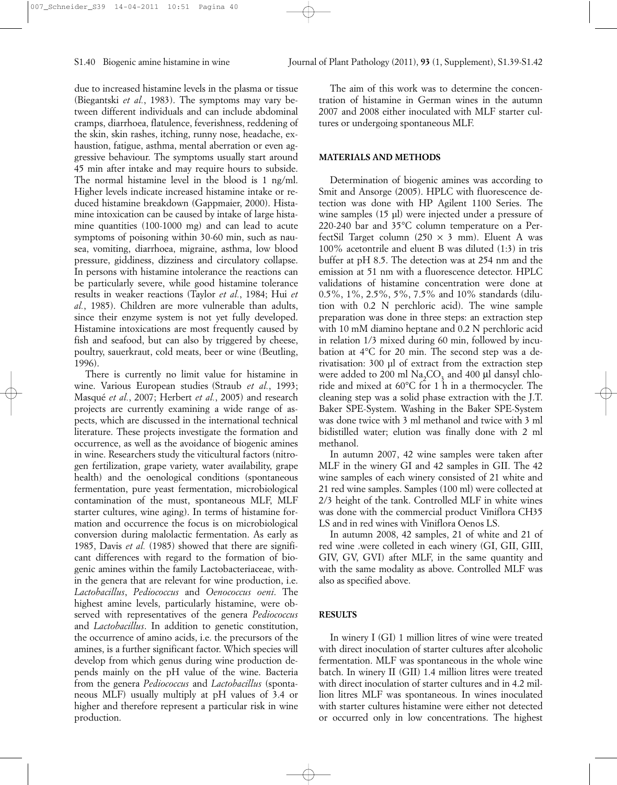due to increased histamine levels in the plasma or tissue (Biegantski *et al.*, 1983). The symptoms may vary between different individuals and can include abdominal cramps, diarrhoea, flatulence, feverishness, reddening of the skin, skin rashes, itching, runny nose, headache, exhaustion, fatigue, asthma, mental aberration or even aggressive behaviour. The symptoms usually start around 45 min after intake and may require hours to subside. The normal histamine level in the blood is 1 ng/ml. Higher levels indicate increased histamine intake or reduced histamine breakdown (Gappmaier, 2000). Histamine intoxication can be caused by intake of large histamine quantities (100-1000 mg) and can lead to acute symptoms of poisoning within 30-60 min, such as nausea, vomiting, diarrhoea, migraine, asthma, low blood pressure, giddiness, dizziness and circulatory collapse. In persons with histamine intolerance the reactions can be particularly severe, while good histamine tolerance results in weaker reactions (Taylor *et al.*, 1984; Hui *et al.*, 1985). Children are more vulnerable than adults, since their enzyme system is not yet fully developed. Histamine intoxications are most frequently caused by fish and seafood, but can also by triggered by cheese, poultry, sauerkraut, cold meats, beer or wine (Beutling, 1996).

There is currently no limit value for histamine in wine. Various European studies (Straub *et al.*, 1993; Masqué *et al.*, 2007; Herbert *et al.*, 2005) and research projects are currently examining a wide range of aspects, which are discussed in the international technical literature. These projects investigate the formation and occurrence, as well as the avoidance of biogenic amines in wine. Researchers study the viticultural factors (nitrogen fertilization, grape variety, water availability, grape health) and the oenological conditions (spontaneous fermentation, pure yeast fermentation, microbiological contamination of the must, spontaneous MLF, MLF starter cultures, wine aging). In terms of histamine formation and occurrence the focus is on microbiological conversion during malolactic fermentation. As early as 1985, Davis *et al.* (1985) showed that there are significant differences with regard to the formation of biogenic amines within the family Lactobacteriaceae, within the genera that are relevant for wine production, i.e. *Lactobacillus*, *Pediococcus* and *Oenococcus oeni*. The highest amine levels, particularly histamine, were observed with representatives of the genera *Pediococcus* and *Lactobacillus*. In addition to genetic constitution, the occurrence of amino acids, i.e. the precursors of the amines, is a further significant factor. Which species will develop from which genus during wine production depends mainly on the pH value of the wine. Bacteria from the genera *Pediococcus* and *Lactobacillus* (spontaneous MLF) usually multiply at pH values of 3.4 or higher and therefore represent a particular risk in wine production.

The aim of this work was to determine the concentration of histamine in German wines in the autumn 2007 and 2008 either inoculated with MLF starter cultures or undergoing spontaneous MLF.

#### **MATERIALS AND METHODS**

Determination of biogenic amines was according to Smit and Ansorge (2005). HPLC with fluorescence detection was done with HP Agilent 1100 Series. The wine samples (15 µl) were injected under a pressure of 220-240 bar and 35°C column temperature on a PerfectSil Target column  $(250 \times 3 \text{ mm})$ . Eluent A was 100% acetontrile and eluent B was diluted (1:3) in tris buffer at pH 8.5. The detection was at 254 nm and the emission at 51 nm with a fluorescence detector. HPLC validations of histamine concentration were done at 0.5%, 1%, 2.5%, 5%, 7.5% and 10% standards (dilution with 0.2 N perchloric acid). The wine sample preparation was done in three steps: an extraction step with 10 mM diamino heptane and 0.2 N perchloric acid in relation 1/3 mixed during 60 min, followed by incubation at 4°C for 20 min. The second step was a derivatisation: 300 µl of extract from the extraction step were added to 200 ml  $Na<sub>2</sub>CO<sub>3</sub>$  and 400 µl dansyl chloride and mixed at 60°C for 1 h in a thermocycler. The cleaning step was a solid phase extraction with the J.T. Baker SPE-System. Washing in the Baker SPE-System was done twice with 3 ml methanol and twice with 3 ml bidistilled water; elution was finally done with 2 ml methanol.

In autumn 2007, 42 wine samples were taken after MLF in the winery GI and 42 samples in GII. The 42 wine samples of each winery consisted of 21 white and 21 red wine samples. Samples (100 ml) were collected at 2/3 height of the tank. Controlled MLF in white wines was done with the commercial product Viniflora CH35 LS and in red wines with Viniflora Oenos LS.

In autumn 2008, 42 samples, 21 of white and 21 of red wine .were colleted in each winery (GI, GII, GIII, GIV, GV, GVI) after MLF, in the same quantity and with the same modality as above. Controlled MLF was also as specified above.

## **RESULTS**

In winery I (GI) 1 million litres of wine were treated with direct inoculation of starter cultures after alcoholic fermentation. MLF was spontaneous in the whole wine batch. In winery II (GII) 1.4 million litres were treated with direct inoculation of starter cultures and in 4.2 million litres MLF was spontaneous. In wines inoculated with starter cultures histamine were either not detected or occurred only in low concentrations. The highest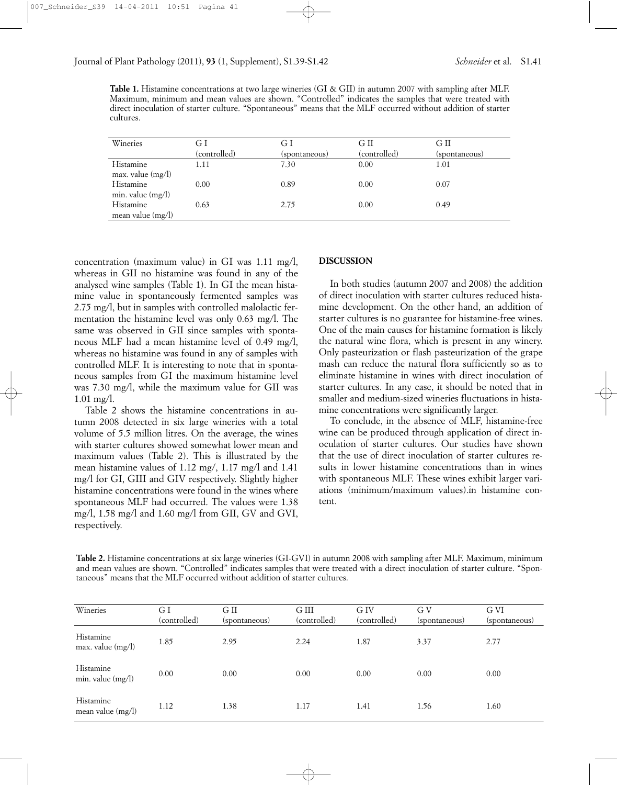**Table 1.** Histamine concentrations at two large wineries (GI & GII) in autumn 2007 with sampling after MLF. Maximum, minimum and mean values are shown. "Controlled" indicates the samples that were treated with direct inoculation of starter culture. "Spontaneous" means that the MLF occurred without addition of starter cultures.

| Wineries            | GΙ           | GІ            | GП           | GП            |
|---------------------|--------------|---------------|--------------|---------------|
|                     | (controlled) | (spontaneous) | (controlled) | (spontaneous) |
| Histamine           | l.11         | 7.30          | 0.00         | 1.01          |
| max. value (mg/l)   |              |               |              |               |
| Histamine           | 0.00         | 0.89          | 0.00         | 0.07          |
| min. value $(mg/l)$ |              |               |              |               |
| Histamine           | 0.63         | 2.75          | 0.00         | 0.49          |
| mean value $(mg/l)$ |              |               |              |               |

concentration (maximum value) in GI was 1.11 mg/l, whereas in GII no histamine was found in any of the analysed wine samples (Table 1). In GI the mean histamine value in spontaneously fermented samples was 2.75 mg/l, but in samples with controlled malolactic fermentation the histamine level was only 0.63 mg/l. The same was observed in GII since samples with spontaneous MLF had a mean histamine level of 0.49 mg/l, whereas no histamine was found in any of samples with controlled MLF. It is interesting to note that in spontaneous samples from GI the maximum histamine level was 7.30 mg/l, while the maximum value for GII was 1.01 mg/l.

Table 2 shows the histamine concentrations in autumn 2008 detected in six large wineries with a total volume of 5.5 million litres. On the average, the wines with starter cultures showed somewhat lower mean and maximum values (Table 2). This is illustrated by the mean histamine values of 1.12 mg/, 1.17 mg/l and 1.41 mg/l for GI, GIII and GIV respectively. Slightly higher histamine concentrations were found in the wines where spontaneous MLF had occurred. The values were 1.38 mg/l, 1.58 mg/l and 1.60 mg/l from GII, GV and GVI, respectively.

### **DISCUSSION**

In both studies (autumn 2007 and 2008) the addition of direct inoculation with starter cultures reduced histamine development. On the other hand, an addition of starter cultures is no guarantee for histamine-free wines. One of the main causes for histamine formation is likely the natural wine flora, which is present in any winery. Only pasteurization or flash pasteurization of the grape mash can reduce the natural flora sufficiently so as to eliminate histamine in wines with direct inoculation of starter cultures. In any case, it should be noted that in smaller and medium-sized wineries fluctuations in histamine concentrations were significantly larger.

To conclude, in the absence of MLF, histamine-free wine can be produced through application of direct inoculation of starter cultures. Our studies have shown that the use of direct inoculation of starter cultures results in lower histamine concentrations than in wines with spontaneous MLF. These wines exhibit larger variations (minimum/maximum values).in histamine content.

**Table 2.** Histamine concentrations at six large wineries (GI-GVI) in autumn 2008 with sampling after MLF. Maximum, minimum and mean values are shown. "Controlled" indicates samples that were treated with a direct inoculation of starter culture. "Spontaneous" means that the MLF occurred without addition of starter cultures.

| Wineries                         | GΙ           | GП            | G III        | G IV         | G V           | G VI          |
|----------------------------------|--------------|---------------|--------------|--------------|---------------|---------------|
|                                  | (controlled) | (spontaneous) | (controlled) | (controlled) | (spontaneous) | (spontaneous) |
| Histamine<br>max. value $(mg/l)$ | 1.85         | 2.95          | 2.24         | 1.87         | 3.37          | 2.77          |
| Histamine<br>min. value $(mg/l)$ | 0.00         | 0.00          | 0.00         | 0.00         | 0.00          | 0.00          |
| Histamine<br>mean value $(mg/l)$ | 1.12         | 1.38          | 1.17         | 1.41         | 1.56          | 1.60          |